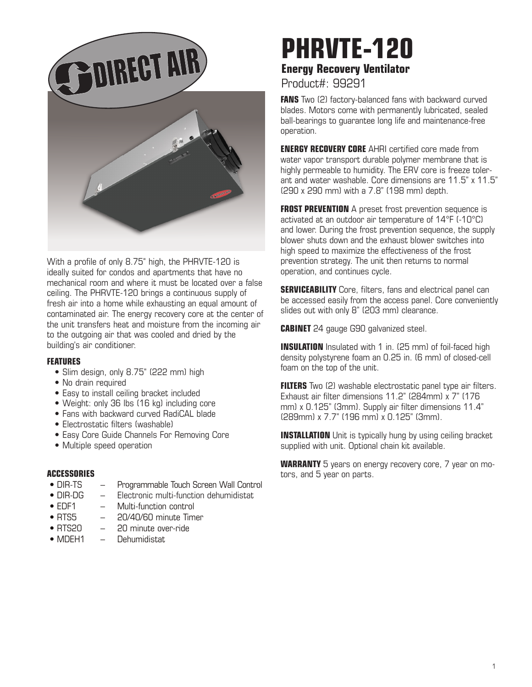

With a profile of only 8.75" high, the PHRVTE-120 is ideally suited for condos and apartments that have no mechanical room and where it must be located over a false ceiling. The PHRVTE-120 brings a continuous supply of fresh air into a home while exhausting an equal amount of contaminated air. The energy recovery core at the center of the unit transfers heat and moisture from the incoming air to the outgoing air that was cooled and dried by the building's air conditioner.

## **FEATURES**

- Slim design, only 8.75" (222 mm) high
- No drain required
- Easy to install ceiling bracket included
- Weight: only 36 lbs (16 kg) including core
- Fans with backward curved RadiCAL blade
- Electrostatic filters (washable)
- Easy Core Guide Channels For Removing Core
- Multiple speed operation

## **ACCESSORIES**

- DIR-TS Programmable Touch Screen Wall Control
- DIR-DG Electronic multi-function dehumidistat
- EDF1 Multi-function control
- RTS5 20/40/60 minute Timer
- RTS20 20 minute over-ride
- MDFH1 Dehumidistat

## **PHRVTE-120 Energy Recovery Ventilator**

Product#: 99291

**FANS** Two (2) factory-balanced fans with backward curved blades. Motors come with permanently lubricated, sealed ball-bearings to guarantee long life and maintenance-free operation.

**ENERGY RECOVERY CORE** AHRI certified core made from water vapor transport durable polymer membrane that is highly permeable to humidity. The ERV core is freeze tolerant and water washable. Core dimensions are 11.5" x 11.5" (290 x 290 mm) with a 7.8" (198 mm) depth.

**FROST PREVENTION** A preset frost prevention sequence is activated at an outdoor air temperature of 14°F (-10°C) and lower. During the frost prevention sequence, the supply blower shuts down and the exhaust blower switches into high speed to maximize the effectiveness of the frost prevention strategy. The unit then returns to normal operation, and continues cycle.

**SERVICEABILITY** Core, filters, fans and electrical panel can be accessed easily from the access panel. Core conveniently slides out with only 8" (203 mm) clearance.

**CABINET** 24 gauge G90 galvanized steel.

**INSULATION** Insulated with 1 in. (25 mm) of foil-faced high density polystyrene foam an 0.25 in. (6 mm) of closed-cell foam on the top of the unit.

**FILTERS** Two (2) washable electrostatic panel type air filters. Exhaust air filter dimensions 11.2" (284mm) x 7" (176 mm) x 0.125" (3mm). Supply air filter dimensions 11.4" (289mm) x 7.7" (196 mm) x 0.125" (3mm).

**INSTALLATION** Unit is typically hung by using ceiling bracket supplied with unit. Optional chain kit available.

**WARRANTY** 5 years on energy recovery core, 7 year on motors, and 5 year on parts.